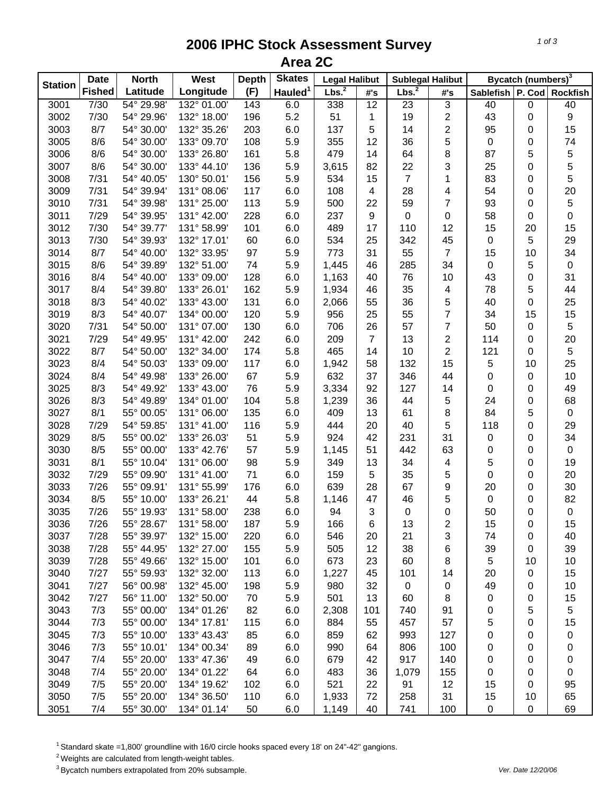## **2006 IPHC Stock Assessment Survey Area 2C**

| <b>Station</b> | <b>Date</b>   | <b>North</b>       | West                        | <b>Depth</b> | <b>Skates</b>       | <b>Legal Halibut</b> |                         | <b>Sublegal Halibut</b> |                | Bycatch (numbers) <sup>3</sup> |    |                |
|----------------|---------------|--------------------|-----------------------------|--------------|---------------------|----------------------|-------------------------|-------------------------|----------------|--------------------------------|----|----------------|
|                | <b>Fished</b> | Latitude           | Longitude                   | (F)          | Hauled <sup>1</sup> | Lbs. <sup>2</sup>    | #'s                     | Lbs. <sup>2</sup>       | #'s            | Sablefish   P. Cod   Rockfish  |    |                |
| 3001           | 7/30          | 54° 29.98'         | 132° 01.00'                 | 143          | 6.0                 | 338                  | 12                      | 23                      | 3              | 40                             | 0  | 40             |
| 3002           | 7/30          | 54° 29.96'         | 132° 18.00'                 | 196          | 5.2                 | 51                   | 1                       | 19                      | 2              | 43                             | 0  | 9              |
| 3003           | 8/7           | 54° 30.00'         | 132° 35.26'                 | 203          | 6.0                 | 137                  | 5                       | 14                      | $\overline{c}$ | 95                             | 0  | 15             |
| 3005           | 8/6           | 54° 30.00'         | 133° 09.70'                 | 108          | 5.9                 | 355                  | 12                      | 36                      | 5              | $\pmb{0}$                      | 0  | 74             |
| 3006           | 8/6           | 54° 30.00'         | 133° 26.80'                 | 161          | 5.8                 | 479                  | 14                      | 64                      | 8              | 87                             | 5  | 5              |
| 3007           | 8/6           | 54° 30.00'         | 133° 44.10'                 | 136          | 5.9                 | 3,615                | 82                      | 22                      | 3              | 25                             | 0  | 5              |
| 3008           | 7/31          | 54° 40.05'         | 130° 50.01'                 | 156          | 5.9                 | 534                  | 15                      | $\overline{7}$          | 1              | 83                             | 0  | 5              |
| 3009           | 7/31          | 54° 39.94'         | 131° 08.06'                 | 117          | 6.0                 | 108                  | $\overline{\mathbf{4}}$ | 28                      | 4              | 54                             | 0  | 20             |
| 3010           | 7/31          | 54° 39.98'         | 131° 25.00'                 | 113          | 5.9                 | 500                  | 22                      | 59                      | $\overline{7}$ | 93                             | 0  | 5              |
| 3011           | 7/29          | 54° 39.95'         | 131° 42.00'                 | 228          | 6.0                 | 237                  | $\boldsymbol{9}$        | $\mathbf 0$             | 0              | 58                             | 0  | $\pmb{0}$      |
| 3012           | 7/30          | 54° 39.77'         | 131° 58.99'                 | 101          | 6.0                 | 489                  | 17                      | 110                     | 12             | 15                             | 20 | 15             |
| 3013           | 7/30          | 54° 39.93'         | 132° 17.01'                 | 60           | 6.0                 | 534                  | 25                      | 342                     | 45             | $\mathbf 0$                    | 5  | 29             |
| 3014           | 8/7           | 54° 40.00'         | 132° 33.95'                 | 97           | 5.9                 | 773                  | 31                      | 55                      | $\overline{7}$ | 15                             | 10 | 34             |
| 3015           | 8/6           | 54° 39.89'         | 132° 51.00'                 | 74           | 5.9                 | 1,445                | 46                      | 285                     | 34             | $\pmb{0}$                      | 5  | $\pmb{0}$      |
| 3016           | 8/4           | 54° 40.00'         | 133° 09.00'                 | 128          | 6.0                 | 1,163                | 40                      | 76                      | 10             | 43                             | 0  | 31             |
| 3017           | 8/4           | 54° 39.80'         | 133° 26.01'                 | 162          | 5.9                 | 1,934                | 46                      | 35                      | 4              | 78                             | 5  | 44             |
| 3018           | 8/3           | 54° 40.02'         | 133° 43.00'                 | 131          | 6.0                 | 2,066                | 55                      | 36                      | 5              | 40                             | 0  | 25             |
| 3019           | 8/3           | 54° 40.07'         | 134° 00.00'                 | 120          | 5.9                 | 956                  | 25                      | 55                      | 7              | 34                             | 15 | 15             |
| 3020           | 7/31          | 54° 50.00'         | 131° 07.00'                 | 130          | 6.0                 | 706                  | 26                      | 57                      | 7              | 50                             | 0  | 5              |
| 3021           | 7/29          | 54° 49.95'         | 131° 42.00'                 | 242          | 6.0                 | 209                  | $\overline{7}$          | 13                      | 2              | 114                            | 0  | 20             |
| 3022           | 8/7           | 54° 50.00'         | 132° 34.00'                 | 174          | 5.8                 | 465                  | 14                      | 10                      | 2              | 121                            | 0  | $\overline{5}$ |
| 3023           | 8/4           | 54° 50.03'         | 133° 09.00'                 | 117          | 6.0                 | 1,942                | 58                      | 132                     | 15             | 5                              | 10 | 25             |
| 3024           | 8/4           | 54° 49.98'         | 133° 26.00'                 | 67           | 5.9                 | 632                  | 37                      | 346                     | 44             | 0                              | 0  | 10             |
| 3025           | 8/3           | 54° 49.92'         | 133° 43.00'                 | 76           | 5.9                 | 3,334                | 92                      | 127                     | 14             | 0                              | 0  | 49             |
| 3026           | 8/3           | 54° 49.89'         | 134° 01.00'                 | 104          | 5.8                 | 1,239                | 36                      | 44                      | 5              | 24                             | 0  | 68             |
| 3027           | 8/1           | 55° 00.05'         | 131° 06.00'                 | 135          | 6.0                 | 409                  | 13                      | 61                      | 8              | 84                             | 5  | $\pmb{0}$      |
| 3028           | 7/29          | 54° 59.85'         | 131° 41.00'                 | 116          | 5.9                 | 444                  | 20                      | 40                      | 5              | 118                            | 0  | 29             |
| 3029           | 8/5           | 55° 00.02'         | 133° 26.03'                 | 51           | 5.9                 | 924                  | 42                      | 231                     | 31             | $\pmb{0}$                      | 0  | 34             |
| 3030           | 8/5           | 55° 00.00'         | 133° 42.76'                 | 57           | 5.9                 | 1,145                | 51                      | 442                     | 63             | 0                              | 0  | $\mathbf 0$    |
| 3031           | 8/1           | 55° 10.04'         | 131° 06.00'                 | 98           | 5.9                 | 349                  | 13                      | 34                      | 4              | 5                              | 0  | 19             |
| 3032           | 7/29          | 55° 09.90'         | 131° 41.00'                 | 71           | 6.0                 | 159                  | 5                       | 35                      | 5              | $\pmb{0}$                      | 0  | 20             |
| 3033           | 7/26          | 55° 09.91'         | 131° 55.99'                 | 176          | 6.0                 | 639                  | 28                      | 67                      | 9              | 20                             | 0  | 30             |
| 3034           | 8/5           | 55° 10.00'         | 133° 26.21'                 | 44           | 5.8                 | 1,146                | 47                      | 46                      | 5              | $\pmb{0}$                      | 0  | 82             |
| 3035           | 7/26          | 55° 19.93'         | 131° 58.00'                 | 238          | 6.0                 | 94                   | 3                       | 0                       | 0              | 50                             | 0  | $\pmb{0}$      |
| 3036           | 7/26          | $55^{\circ}$ 28.67 | $131^{\circ} 58.00^{\circ}$ | 187          | 5.9                 | 166                  | 6                       | 13                      | 2              | 15                             | 0  | 15             |
| 3037           | 7/28          | 55° 39.97'         | 132° 15.00'                 | 220          | 6.0                 | 546                  | 20                      | 21                      | 3              | 74                             | 0  | 40             |
| 3038           | 7/28          | 55° 44.95'         | 132° 27.00'                 | 155          | 5.9                 | 505                  | 12                      | 38                      | 6              | 39                             | 0  | 39             |
| 3039           | 7/28          | 55° 49.66'         | 132° 15.00'                 | 101          | 6.0                 | 673                  | 23                      | 60                      | 8              | 5                              | 10 | 10             |
| 3040           | 7/27          | 55° 59.93'         | 132° 32.00'                 | 113          | 6.0                 | 1,227                | 45                      | 101                     | 14             | 20                             | 0  | 15             |
| 3041           | 7/27          | 56° 00.98'         | 132° 45.00'                 | 198          | 5.9                 | 980                  | 32                      | $\mathbf 0$             | 0              | 49                             | 0  | 10             |
| 3042           | 7/27          | 56° 11.00'         | 132° 50.00'                 | 70           | 5.9                 | 501                  | 13                      | 60                      | 8              | 0                              | 0  | 15             |
| 3043           | 7/3           | 55° 00.00'         | 134° 01.26'                 | 82           | 6.0                 | 2,308                | 101                     | 740                     | 91             | 0                              | 5  | 5              |
| 3044           | 7/3           | 55° 00.00'         | 134° 17.81'                 | 115          | 6.0                 | 884                  | 55                      | 457                     | 57             | 5                              | 0  | 15             |
| 3045           | 7/3           | 55° 10.00'         | 133° 43.43'                 | 85           | 6.0                 | 859                  | 62                      | 993                     | 127            | 0                              | 0  | 0              |
| 3046           | 7/3           | 55° 10.01'         | 134° 00.34'                 | 89           | 6.0                 | 990                  | 64                      | 806                     | 100            | 0                              | 0  | 0              |
| 3047           | 7/4           | 55° 20.00'         | 133° 47.36'                 | 49           | 6.0                 | 679                  | 42                      | 917                     | 140            | 0                              | 0  | 0              |
| 3048           | 7/4           | 55° 20.00'         | 134° 01.22'                 | 64           | 6.0                 | 483                  | 36                      | 1,079                   | 155            | 0                              | 0  | 0              |
| 3049           | 7/5           | 55° 20.00'         | 134° 19.62'                 | 102          | 6.0                 | 521                  | 22                      | 91                      | 12             | 15                             | 0  | 95             |
| 3050           | 7/5           | 55° 20.00'         | 134° 36.50'                 | 110          | 6.0                 | 1,933                | 72                      | 258                     | 31             | 15                             | 10 | 65             |
| 3051           | 7/4           | 55° 30.00'         | 134° 01.14'                 | 50           | 6.0                 | 1,149                | 40                      | 741                     | 100            | 0                              | 0  | 69             |

 $1$  Standard skate =1,800' groundline with 16/0 circle hooks spaced every 18' on 24"-42" gangions.

 $2$  Weights are calculated from length-weight tables.

<sup>3</sup> Bycatch numbers extrapolated from 20% subsample. *Ver. Date 12/20/06*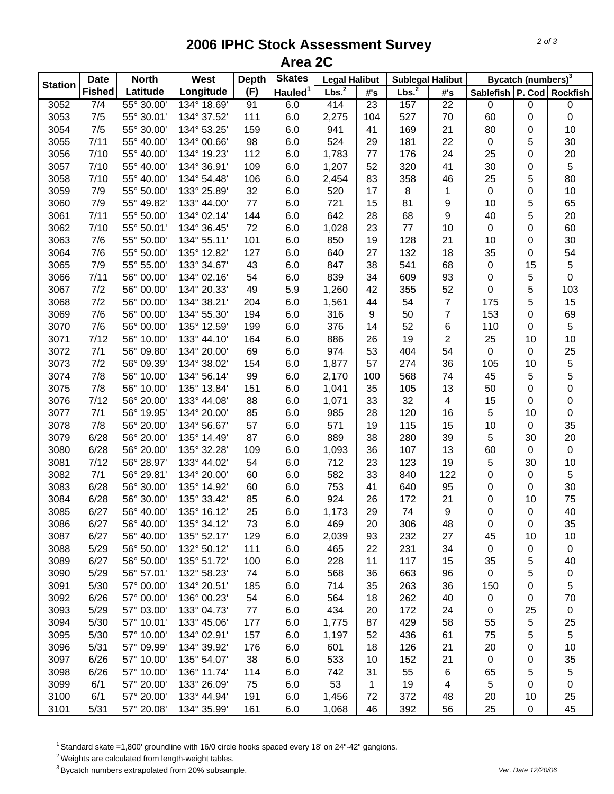## **2006 IPHC Stock Assessment Survey Area 2C**

|                | <b>Date</b>   | <b>North</b> | West        | <b>Depth</b> | <b>Skates</b>       | <b>Legal Halibut</b> |     | <b>Sublegal Halibut</b> |                | Bycatch (numbers) <sup>3</sup> |    |                  |
|----------------|---------------|--------------|-------------|--------------|---------------------|----------------------|-----|-------------------------|----------------|--------------------------------|----|------------------|
| <b>Station</b> | <b>Fished</b> | Latitude     | Longitude   | (F)          | Hauled <sup>1</sup> | Lbs. <sup>2</sup>    | #'s | Lbs. <sup>2</sup>       | #'s            | Sablefish P. Cod Rockfish      |    |                  |
| 3052           | 7/4           | 55° 30.00'   | 134° 18.69' | 91           | 6.0                 | 414                  | 23  | 157                     | 22             | $\pmb{0}$                      | 0  | $\boldsymbol{0}$ |
| 3053           | 7/5           | 55° 30.01'   | 134° 37.52' | 111          | 6.0                 | 2,275                | 104 | 527                     | 70             | 60                             | 0  | 0                |
| 3054           | 7/5           | 55° 30.00'   | 134° 53.25' | 159          | 6.0                 | 941                  | 41  | 169                     | 21             | 80                             | 0  | 10               |
| 3055           | 7/11          | 55° 40.00'   | 134° 00.66' | 98           | 6.0                 | 524                  | 29  | 181                     | 22             | 0                              | 5  | 30               |
| 3056           | 7/10          | 55° 40.00'   | 134° 19.23' | 112          | 6.0                 | 1,783                | 77  | 176                     | 24             | 25                             | 0  | 20               |
| 3057           | 7/10          | 55° 40.00'   | 134° 36.91' | 109          | 6.0                 | 1,207                | 52  | 320                     | 41             | 30                             | 0  | 5                |
| 3058           | 7/10          | 55° 40.00'   | 134° 54.48' | 106          | 6.0                 | 2,454                | 83  | 358                     | 46             | 25                             | 5  | 80               |
| 3059           | 7/9           | 55° 50.00'   | 133° 25.89' | 32           | 6.0                 | 520                  | 17  | 8                       | $\mathbf{1}$   | $\boldsymbol{0}$               | 0  | 10               |
| 3060           | 7/9           | 55° 49.82'   | 133° 44.00' | $77$         | 6.0                 | 721                  | 15  | 81                      | 9              | 10                             | 5  | 65               |
| 3061           | 7/11          | 55° 50.00'   | 134° 02.14' | 144          | 6.0                 | 642                  | 28  | 68                      | 9              | 40                             | 5  | 20               |
| 3062           | 7/10          | 55° 50.01'   | 134° 36.45' | 72           | 6.0                 | 1,028                | 23  | 77                      | 10             | $\pmb{0}$                      | 0  | 60               |
| 3063           | 7/6           | 55° 50.00    | 134° 55.11' | 101          | 6.0                 | 850                  | 19  | 128                     | 21             | 10                             | 0  | 30               |
| 3064           | 7/6           | 55° 50.00'   | 135° 12.82' | 127          | 6.0                 | 640                  | 27  | 132                     | 18             | 35                             | 0  | 54               |
| 3065           | 7/9           | 55° 55.00    | 133° 34.67' | 43           | 6.0                 | 847                  | 38  | 541                     | 68             | 0                              | 15 | 5                |
| 3066           | 7/11          | 56° 00.00'   | 134° 02.16' | 54           | 6.0                 | 839                  | 34  | 609                     | 93             | 0                              | 5  | $\pmb{0}$        |
| 3067           | 7/2           | 56° 00.00'   | 134° 20.33' | 49           | 5.9                 | 1,260                | 42  | 355                     | 52             | 0                              | 5  | 103              |
| 3068           | 7/2           | 56° 00.00'   | 134° 38.21' | 204          | 6.0                 | 1,561                | 44  | 54                      | 7              | 175                            | 5  | 15               |
| 3069           | 7/6           | 56° 00.00'   | 134° 55.30' | 194          | 6.0                 | 316                  | 9   | 50                      | $\overline{7}$ | 153                            | 0  | 69               |
| 3070           | 7/6           | 56° 00.00'   | 135° 12.59' | 199          | 6.0                 | 376                  | 14  | 52                      | 6              | 110                            | 0  | 5                |
| 3071           | 7/12          | 56° 10.00'   | 133° 44.10' | 164          | 6.0                 | 886                  | 26  | 19                      | $\overline{2}$ | 25                             | 10 | 10               |
| 3072           | 7/1           | 56° 09.80'   | 134° 20.00' | 69           | 6.0                 | 974                  | 53  | 404                     | 54             | 0                              | 0  | 25               |
| 3073           | 7/2           | 56° 09.39'   | 134° 38.02' | 154          | 6.0                 | 1,877                | 57  | 274                     | 36             | 105                            | 10 | 5                |
| 3074           | 7/8           | 56° 10.00'   | 134° 56.14' | 99           | 6.0                 | 2,170                | 100 | 568                     | 74             | 45                             | 5  | 5                |
| 3075           | 7/8           | 56° 10.00'   | 135° 13.84' | 151          | 6.0                 | 1,041                | 35  | 105                     | 13             | 50                             | 0  | 0                |
| 3076           | 7/12          | 56° 20.00'   | 133° 44.08' | 88           | 6.0                 | 1,071                | 33  | 32                      | 4              | 15                             | 0  | 0                |
| 3077           | 7/1           | 56° 19.95'   | 134° 20.00' | 85           | 6.0                 | 985                  | 28  | 120                     | 16             | 5                              | 10 | $\pmb{0}$        |
| 3078           | 7/8           | 56° 20.00'   | 134° 56.67' | 57           | 6.0                 | 571                  | 19  | 115                     | 15             | 10                             | 0  | 35               |
| 3079           | 6/28          | 56° 20.00'   | 135° 14.49' | 87           | 6.0                 | 889                  | 38  | 280                     | 39             | 5                              | 30 | 20               |
| 3080           | 6/28          | 56° 20.00'   | 135° 32.28' | 109          | 6.0                 | 1,093                | 36  | 107                     | 13             | 60                             | 0  | $\pmb{0}$        |
| 3081           | 7/12          | 56° 28.97'   | 133° 44.02' | 54           | 6.0                 | 712                  | 23  | 123                     | 19             | 5                              | 30 | 10               |
| 3082           | 7/1           | 56° 29.81'   | 134° 20.00' | 60           | 6.0                 | 582                  | 33  | 840                     | 122            | 0                              | 0  | 5                |
| 3083           | 6/28          | 56° 30.00    | 135° 14.92' | 60           | 6.0                 | 753                  | 41  | 640                     | 95             | 0                              | 0  | 30               |
| 3084           | 6/28          | 56° 30.00    | 135° 33.42' | 85           | 6.0                 | 924                  | 26  | 172                     | 21             | 0                              | 10 | 75               |
| 3085           | 6/27          | 56° 40.00'   | 135° 16.12' | 25           | 6.0                 | 1,173                | 29  | 74                      | 9              | 0                              | 0  | 40               |
| 3086           | 6/27          | 56° 40.00    | 135° 34.12' | 73           | 6.0                 | 469                  | 20  | 306                     | 48             | 0                              | 0  | 35               |
| 3087           | 6/27          | 56° 40.00'   | 135° 52.17' | 129          | 6.0                 | 2,039                | 93  | 232                     | 27             | 45                             | 10 | 10               |
| 3088           | 5/29          | 56° 50.00'   | 132° 50.12' | 111          | 6.0                 | 465                  | 22  | 231                     | 34             | 0                              | 0  | $\pmb{0}$        |
| 3089           | 6/27          | 56° 50.00'   | 135° 51.72' | 100          | 6.0                 | 228                  | 11  | 117                     | 15             | 35                             | 5  | 40               |
| 3090           | 5/29          | 56° 57.01'   | 132° 58.23' | 74           | 6.0                 | 568                  | 36  | 663                     | 96             | $\mathbf 0$                    | 5  | $\pmb{0}$        |
| 3091           | 5/30          | 57° 00.00'   | 134° 20.51' | 185          | 6.0                 | 714                  | 35  | 263                     | 36             | 150                            | 0  | 5                |
| 3092           | 6/26          | 57° 00.00'   | 136° 00.23' | 54           | 6.0                 | 564                  | 18  | 262                     | 40             | $\pmb{0}$                      | 0  | 70               |
| 3093           | 5/29          | 57° 03.00'   | 133° 04.73' | 77           | 6.0                 | 434                  | 20  | 172                     | 24             | 0                              | 25 | $\pmb{0}$        |
| 3094           | 5/30          | 57° 10.01'   | 133° 45.06' | 177          | 6.0                 | 1,775                | 87  | 429                     | 58             | 55                             | 5  | 25               |
| 3095           | 5/30          | 57° 10.00'   | 134° 02.91' | 157          | 6.0                 | 1,197                | 52  | 436                     | 61             | 75                             | 5  | 5                |
| 3096           | 5/31          | 57° 09.99'   | 134° 39.92' | 176          | 6.0                 | 601                  | 18  | 126                     | 21             | 20                             | 0  | 10               |
| 3097           | 6/26          | 57° 10.00'   | 135° 54.07' | 38           | 6.0                 | 533                  | 10  | 152                     | 21             | $\mathbf 0$                    | 0  | 35               |
| 3098           | 6/26          | 57° 10.00'   | 136° 11.74' | 114          | 6.0                 | 742                  | 31  | 55                      | 6              | 65                             | 5  | 5                |
| 3099           | 6/1           | 57° 20.00'   | 133° 26.09' | 75           | 6.0                 | 53                   | 1   | 19                      | 4              | 5                              | 0  | 0                |
| 3100           | 6/1           | 57° 20.00'   | 133° 44.94' | 191          | 6.0                 | 1,456                | 72  | 372                     | 48             | 20                             | 10 | 25               |
| 3101           | 5/31          | 57° 20.08'   | 134° 35.99' | 161          | 6.0                 | 1,068                | 46  | 392                     | 56             | 25                             | 0  | 45               |

 $1$  Standard skate =1,800' groundline with 16/0 circle hooks spaced every 18' on 24"-42" gangions.

 $2$  Weights are calculated from length-weight tables.

<sup>3</sup> Bycatch numbers extrapolated from 20% subsample. *Ver. Date 12/20/06*